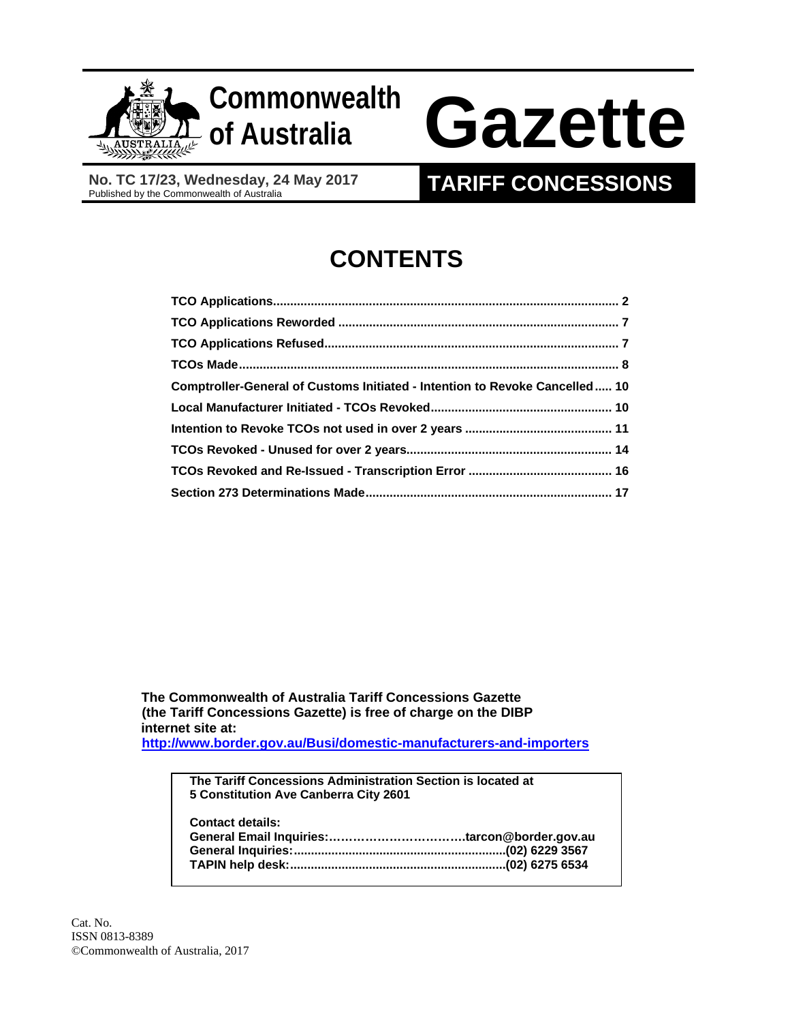

## **Commonwealth**

# **of Australia Gazette**

 **No. TC 17/23, Wednesday, 24 May 2017** No. TC 17/23, Wednesday, 24 May 2017<br>Published by the Commonwealth of Australia **TARIFF CONCESSIONS** 

### **CONTENTS**

| Comptroller-General of Customs Initiated - Intention to Revoke Cancelled 10 |  |
|-----------------------------------------------------------------------------|--|
|                                                                             |  |
|                                                                             |  |
|                                                                             |  |
|                                                                             |  |
|                                                                             |  |

 **The Commonwealth of Australia Tariff Concessions Gazette (the Tariff Concessions Gazette) is free of charge on the DIBP internet site at: http://www.border.gov.au/Busi/domestic-manufacturers-and-importers**

**The Tariff Concessions Administration Section is located at 5 Constitution Ave Canberra City 2601 Contact details: General Email Inquiries:…………………………….tarcon@border.gov.au General Inquiries: .............................................................. (02) 6229 3567 TAPIN help desk:............................................................... (02) 6275 6534**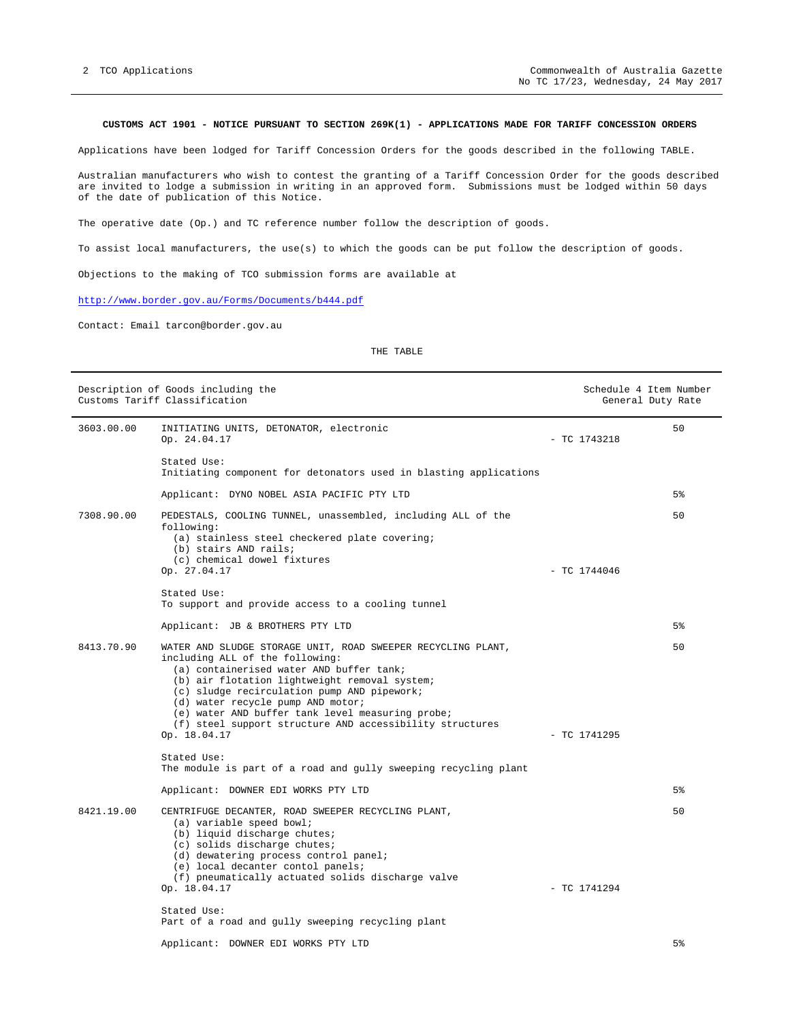#### **CUSTOMS ACT 1901 - NOTICE PURSUANT TO SECTION 269K(1) - APPLICATIONS MADE FOR TARIFF CONCESSION ORDERS**

Applications have been lodged for Tariff Concession Orders for the goods described in the following TABLE.

Australian manufacturers who wish to contest the granting of a Tariff Concession Order for the goods described are invited to lodge a submission in writing in an approved form. Submissions must be lodged within 50 days of the date of publication of this Notice.

The operative date (Op.) and TC reference number follow the description of goods.

To assist local manufacturers, the use(s) to which the goods can be put follow the description of goods.

Objections to the making of TCO submission forms are available at

http://www.border.gov.au/Forms/Documents/b444.pdf

Contact: Email tarcon@border.gov.au

| Description of Goods including the<br>Customs Tariff Classification |                                                                                                                                                                                                                                                                                                                                                                                                                  |  | Schedule 4 Item Number<br>General Duty Rate |                |
|---------------------------------------------------------------------|------------------------------------------------------------------------------------------------------------------------------------------------------------------------------------------------------------------------------------------------------------------------------------------------------------------------------------------------------------------------------------------------------------------|--|---------------------------------------------|----------------|
| 3603.00.00                                                          | INITIATING UNITS, DETONATOR, electronic<br>Op. 24.04.17                                                                                                                                                                                                                                                                                                                                                          |  | $-$ TC 1743218                              | 50             |
|                                                                     | Stated Use:<br>Initiating component for detonators used in blasting applications                                                                                                                                                                                                                                                                                                                                 |  |                                             |                |
|                                                                     | Applicant: DYNO NOBEL ASIA PACIFIC PTY LTD                                                                                                                                                                                                                                                                                                                                                                       |  |                                             | 5 <sup>°</sup> |
| 7308.90.00                                                          | PEDESTALS, COOLING TUNNEL, unassembled, including ALL of the<br>following:<br>(a) stainless steel checkered plate covering;<br>(b) stairs AND rails;<br>(c) chemical dowel fixtures                                                                                                                                                                                                                              |  |                                             | 50             |
|                                                                     | Op. 27.04.17                                                                                                                                                                                                                                                                                                                                                                                                     |  | $-$ TC 1744046                              |                |
|                                                                     | Stated Use:<br>To support and provide access to a cooling tunnel                                                                                                                                                                                                                                                                                                                                                 |  |                                             |                |
|                                                                     | Applicant: JB & BROTHERS PTY LTD                                                                                                                                                                                                                                                                                                                                                                                 |  |                                             | 5 <sup>°</sup> |
| 8413.70.90                                                          | WATER AND SLUDGE STORAGE UNIT, ROAD SWEEPER RECYCLING PLANT,<br>including ALL of the following:<br>(a) containerised water AND buffer tank;<br>(b) air flotation lightweight removal system;<br>(c) sludge recirculation pump AND pipework;<br>(d) water recycle pump AND motor;<br>(e) water AND buffer tank level measuring probe;<br>(f) steel support structure AND accessibility structures<br>Op. 18.04.17 |  | $-$ TC 1741295                              | 50             |
|                                                                     | Stated Use:<br>The module is part of a road and gully sweeping recycling plant                                                                                                                                                                                                                                                                                                                                   |  |                                             |                |
|                                                                     | Applicant: DOWNER EDI WORKS PTY LTD                                                                                                                                                                                                                                                                                                                                                                              |  |                                             | $5\%$          |
| 8421.19.00                                                          | CENTRIFUGE DECANTER, ROAD SWEEPER RECYCLING PLANT,<br>(a) variable speed bowl;<br>(b) liquid discharge chutes;<br>(c) solids discharge chutes;<br>(d) dewatering process control panel;<br>(e) local decanter contol panels;<br>(f) pneumatically actuated solids discharge valve<br>Op. 18.04.17<br>Stated Use:                                                                                                 |  | $-$ TC 1741294                              | 50             |
|                                                                     | Part of a road and gully sweeping recycling plant                                                                                                                                                                                                                                                                                                                                                                |  |                                             |                |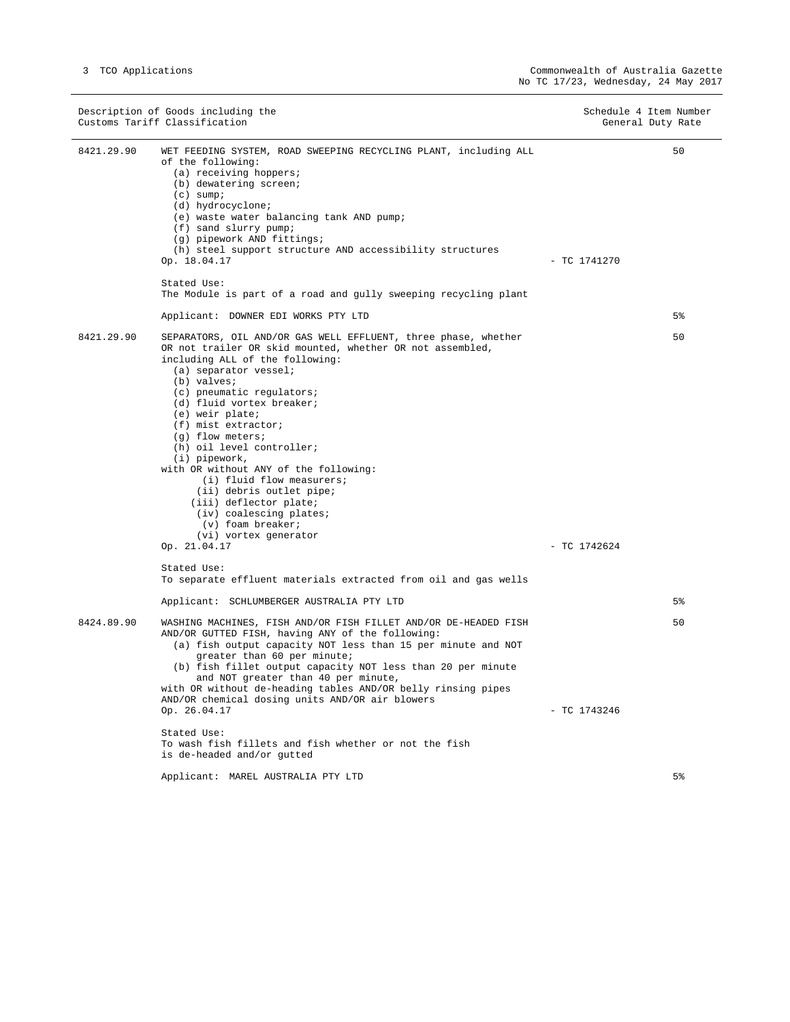|            | Description of Goods including the<br>Customs Tariff Classification                                                                                                                                                                                                                                                                                                                                                                                                                                                                                                                                 |                | Schedule 4 Item Number<br>General Duty Rate |
|------------|-----------------------------------------------------------------------------------------------------------------------------------------------------------------------------------------------------------------------------------------------------------------------------------------------------------------------------------------------------------------------------------------------------------------------------------------------------------------------------------------------------------------------------------------------------------------------------------------------------|----------------|---------------------------------------------|
| 8421.29.90 | WET FEEDING SYSTEM, ROAD SWEEPING RECYCLING PLANT, including ALL<br>of the following:<br>$(a)$ receiving hoppers;<br>(b) dewatering screen;<br>$(c)$ sump;<br>(d) hydrocyclone;<br>(e) waste water balancing tank AND pump;<br>(f) sand slurry pump;<br>(g) pipework AND fittings;<br>(h) steel support structure AND accessibility structures<br>Op. 18.04.17<br>Stated Use:<br>The Module is part of a road and gully sweeping recycling plant<br>Applicant: DOWNER EDI WORKS PTY LTD                                                                                                             | $-$ TC 1741270 | 50<br>5%                                    |
|            |                                                                                                                                                                                                                                                                                                                                                                                                                                                                                                                                                                                                     |                |                                             |
| 8421.29.90 | SEPARATORS, OIL AND/OR GAS WELL EFFLUENT, three phase, whether<br>OR not trailer OR skid mounted, whether OR not assembled,<br>including ALL of the following:<br>(a) separator vessel;<br>(b) valves;<br>(c) pneumatic requlators;<br>(d) fluid vortex breaker;<br>(e) weir plate;<br>(f) mist extractor;<br>$(q)$ flow meters;<br>(h) oil level controller;<br>(i) pipework,<br>with OR without ANY of the following:<br>(i) fluid flow measurers;<br>(ii) debris outlet pipe;<br>(iii) deflector plate;<br>(iv) coalescing plates;<br>(v) foam breaker;<br>(vi) vortex generator<br>Op. 21.04.17 | $-$ TC 1742624 | 50                                          |
|            | Stated Use:                                                                                                                                                                                                                                                                                                                                                                                                                                                                                                                                                                                         |                |                                             |
|            | To separate effluent materials extracted from oil and gas wells                                                                                                                                                                                                                                                                                                                                                                                                                                                                                                                                     |                |                                             |
|            | Applicant: SCHLUMBERGER AUSTRALIA PTY LTD                                                                                                                                                                                                                                                                                                                                                                                                                                                                                                                                                           |                | 5 <sup>°</sup>                              |
| 8424.89.90 | WASHING MACHINES, FISH AND/OR FISH FILLET AND/OR DE-HEADED FISH<br>AND/OR GUTTED FISH, having ANY of the following:<br>(a) fish output capacity NOT less than 15 per minute and NOT<br>greater than 60 per minute;<br>(b) fish fillet output capacity NOT less than 20 per minute<br>and NOT greater than 40 per minute,<br>with OR without de-heading tables AND/OR belly rinsing pipes<br>AND/OR chemical dosing units AND/OR air blowers                                                                                                                                                         |                | 50                                          |
|            | Op. 26.04.17                                                                                                                                                                                                                                                                                                                                                                                                                                                                                                                                                                                        | $-$ TC 1743246 |                                             |
|            | Stated Use:<br>To wash fish fillets and fish whether or not the fish<br>is de-headed and/or gutted                                                                                                                                                                                                                                                                                                                                                                                                                                                                                                  |                |                                             |
|            | Applicant: MAREL AUSTRALIA PTY LTD                                                                                                                                                                                                                                                                                                                                                                                                                                                                                                                                                                  |                | 5 <sup>°</sup>                              |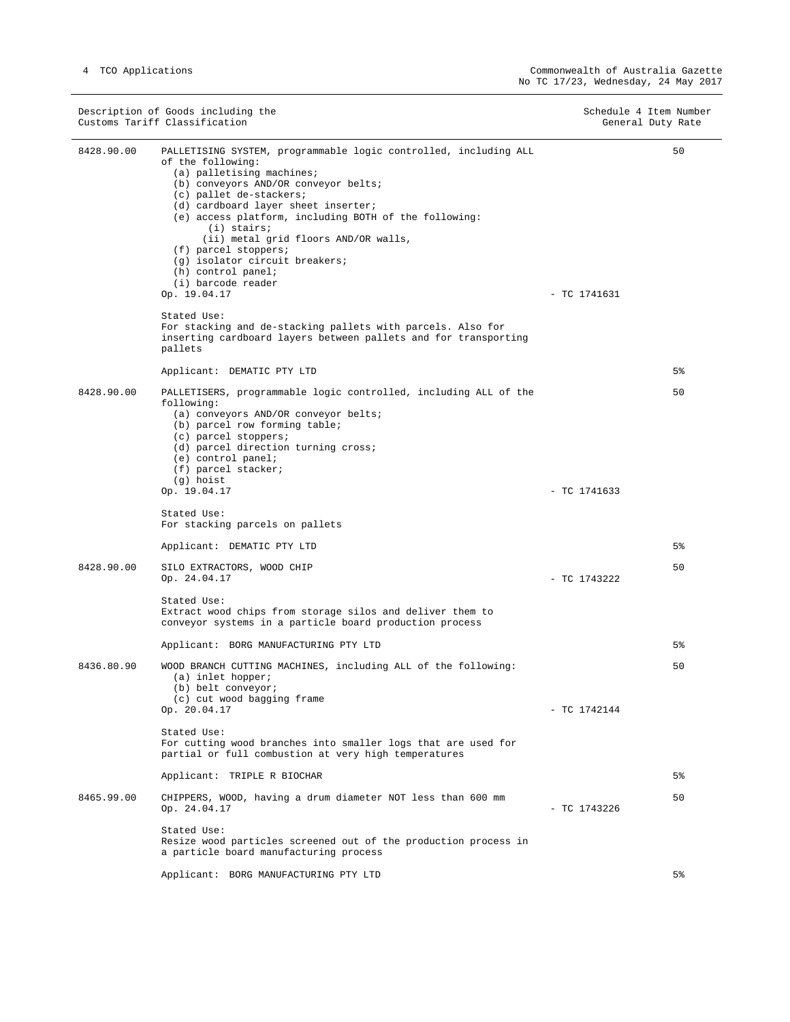$\overline{\phantom{0}}$ 

|            | Description of Goods including the<br>Customs Tariff Classification                                                                                                                                                                                                                                                                                                                                                                                  | Schedule 4 Item Number | General Duty Rate |
|------------|------------------------------------------------------------------------------------------------------------------------------------------------------------------------------------------------------------------------------------------------------------------------------------------------------------------------------------------------------------------------------------------------------------------------------------------------------|------------------------|-------------------|
| 8428.90.00 | PALLETISING SYSTEM, programmable logic controlled, including ALL<br>of the following:<br>(a) palletising machines;<br>(b) conveyors AND/OR conveyor belts;<br>(c) pallet de-stackers;<br>(d) cardboard layer sheet inserter;<br>(e) access platform, including BOTH of the following:<br>$(i)$ stairs;<br>(ii) metal grid floors AND/OR walls,<br>(f) parcel stoppers;<br>(g) isolator circuit breakers;<br>(h) control panel;<br>(i) barcode reader |                        | 50                |
|            | Op. 19.04.17<br>Stated Use:<br>For stacking and de-stacking pallets with parcels. Also for<br>inserting cardboard layers between pallets and for transporting<br>pallets                                                                                                                                                                                                                                                                             | $-$ TC 1741631         |                   |
|            | Applicant: DEMATIC PTY LTD                                                                                                                                                                                                                                                                                                                                                                                                                           |                        | $5\%$             |
| 8428.90.00 | PALLETISERS, programmable logic controlled, including ALL of the<br>following:<br>(a) conveyors AND/OR conveyor belts;<br>(b) parcel row forming table;<br>(c) parcel stoppers;<br>(d) parcel direction turning cross;<br>(e) control panel;<br>(f) parcel stacker;<br>(g) hoist<br>Op. 19.04.17                                                                                                                                                     | $-$ TC 1741633         | 50                |
|            | Stated Use:<br>For stacking parcels on pallets                                                                                                                                                                                                                                                                                                                                                                                                       |                        |                   |
|            | Applicant: DEMATIC PTY LTD                                                                                                                                                                                                                                                                                                                                                                                                                           |                        | $5\%$             |
| 8428.90.00 | SILO EXTRACTORS, WOOD CHIP<br>Op. 24.04.17                                                                                                                                                                                                                                                                                                                                                                                                           | $-$ TC 1743222         | 50                |
|            | Stated Use:<br>Extract wood chips from storage silos and deliver them to<br>conveyor systems in a particle board production process                                                                                                                                                                                                                                                                                                                  |                        |                   |
|            | Applicant: BORG MANUFACTURING PTY LTD                                                                                                                                                                                                                                                                                                                                                                                                                |                        | 5%                |
| 8436.80.90 | WOOD BRANCH CUTTING MACHINES, including ALL of the following:<br>(a) inlet hopper;<br>(b) belt conveyor;<br>(c) cut wood bagging frame<br>Op. 20.04.17                                                                                                                                                                                                                                                                                               | $-$ TC 1742144         | 50                |
|            | Stated Use:<br>For cutting wood branches into smaller logs that are used for<br>partial or full combustion at very high temperatures                                                                                                                                                                                                                                                                                                                 |                        |                   |
|            | Applicant: TRIPLE R BIOCHAR                                                                                                                                                                                                                                                                                                                                                                                                                          |                        | 5%                |
| 8465.99.00 | CHIPPERS, WOOD, having a drum diameter NOT less than 600 mm<br>Op. 24.04.17                                                                                                                                                                                                                                                                                                                                                                          | $-$ TC 1743226         | 50                |
|            | Stated Use:<br>Resize wood particles screened out of the production process in<br>a particle board manufacturing process                                                                                                                                                                                                                                                                                                                             |                        |                   |
|            | Applicant: BORG MANUFACTURING PTY LTD                                                                                                                                                                                                                                                                                                                                                                                                                |                        | 5%                |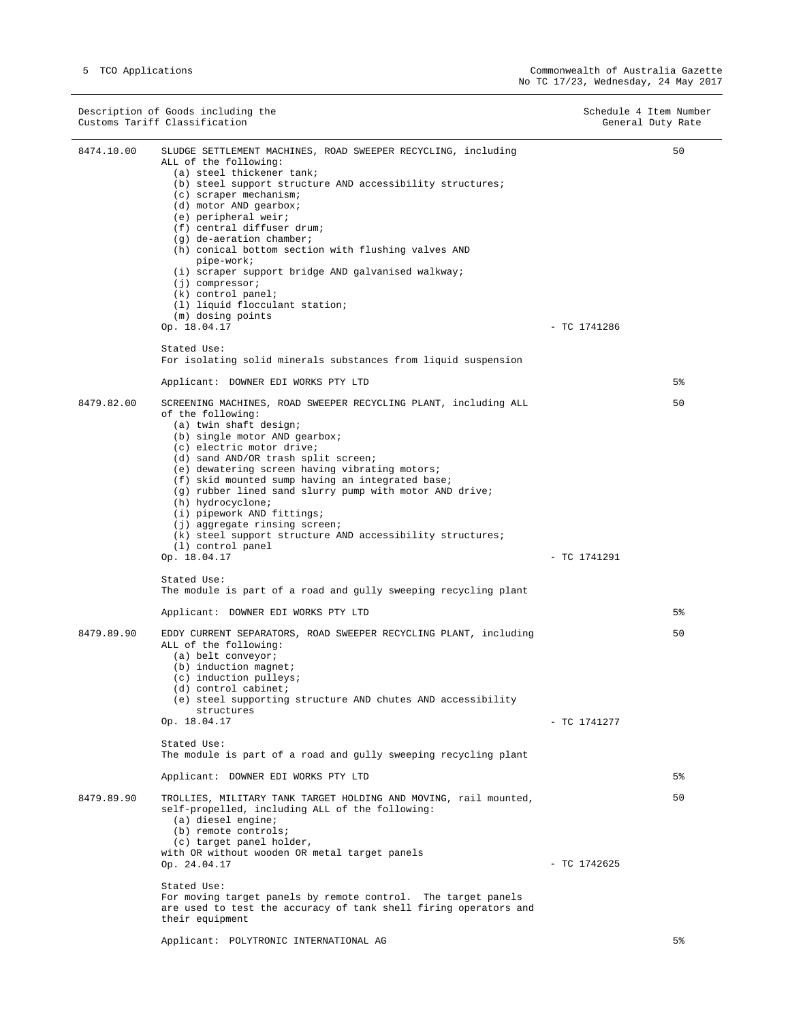$\overline{\phantom{0}}$ 

 $\overline{\phantom{a}}$ 

|            | Description of Goods including the<br>Customs Tariff Classification                                                                                                                                                                                                                                                                                                                                                                                                                                                                                                        | Schedule 4 Item Number<br>General Duty Rate |
|------------|----------------------------------------------------------------------------------------------------------------------------------------------------------------------------------------------------------------------------------------------------------------------------------------------------------------------------------------------------------------------------------------------------------------------------------------------------------------------------------------------------------------------------------------------------------------------------|---------------------------------------------|
| 8474.10.00 | SLUDGE SETTLEMENT MACHINES, ROAD SWEEPER RECYCLING, including<br>ALL of the following:<br>(a) steel thickener tank;<br>(b) steel support structure AND accessibility structures;<br>(c) scraper mechanism;<br>(d) motor AND gearbox;<br>(e) peripheral weir;<br>(f) central diffuser drum;<br>$(q)$ de-aeration chamber;<br>(h) conical bottom section with flushing valves AND<br>pipe-work;<br>(i) scraper support bridge AND galvanised walkway;<br>$(j)$ compressor;<br>$(k)$ control panel;<br>(1) liquid flocculant station;<br>(m) dosing points                    | 50                                          |
|            | Op. 18.04.17<br>Stated Use:<br>For isolating solid minerals substances from liquid suspension                                                                                                                                                                                                                                                                                                                                                                                                                                                                              | $-$ TC 1741286                              |
|            | Applicant: DOWNER EDI WORKS PTY LTD                                                                                                                                                                                                                                                                                                                                                                                                                                                                                                                                        | 5%                                          |
| 8479.82.00 | SCREENING MACHINES, ROAD SWEEPER RECYCLING PLANT, including ALL<br>of the following:<br>(a) twin shaft design;<br>(b) single motor AND gearbox;<br>(c) electric motor drive;<br>(d) sand AND/OR trash split screen;<br>(e) dewatering screen having vibrating motors;<br>(f) skid mounted sump having an integrated base;<br>(g) rubber lined sand slurry pump with motor AND drive;<br>(h) hydrocyclone;<br>(i) pipework AND fittings;<br>(j) aggregate rinsing screen;<br>(k) steel support structure AND accessibility structures;<br>(1) control panel<br>Op. 18.04.17 | 50<br>- TC 1741291                          |
|            | Stated Use:<br>The module is part of a road and gully sweeping recycling plant                                                                                                                                                                                                                                                                                                                                                                                                                                                                                             |                                             |
|            | Applicant: DOWNER EDI WORKS PTY LTD                                                                                                                                                                                                                                                                                                                                                                                                                                                                                                                                        | 5 <sup>°</sup>                              |
| 8479.89.90 | EDDY CURRENT SEPARATORS, ROAD SWEEPER RECYCLING PLANT, including<br>ALL of the following:<br>(a) belt conveyor;<br>$(b)$ induction magnet;<br>(c) induction pulleys;<br>(d) control cabinet;<br>(e) steel supporting structure AND chutes AND accessibility<br>structures<br>Op. 18.04.17<br>Stated Use:<br>The module is part of a road and gully sweeping recycling plant<br>Applicant: DOWNER EDI WORKS PTY LTD                                                                                                                                                         | 50<br>$-$ TC 1741277<br>5%                  |
| 8479.89.90 | TROLLIES, MILITARY TANK TARGET HOLDING AND MOVING, rail mounted,                                                                                                                                                                                                                                                                                                                                                                                                                                                                                                           | 50                                          |
|            | self-propelled, including ALL of the following:<br>(a) diesel engine;<br>(b) remote controls;<br>(c) target panel holder,<br>with OR without wooden OR metal target panels<br>Op. 24.04.17<br>Stated Use:<br>For moving target panels by remote control. The target panels<br>are used to test the accuracy of tank shell firing operators and<br>their equipment<br>Applicant: POLYTRONIC INTERNATIONAL AG                                                                                                                                                                | $-$ TC 1742625<br>5%                        |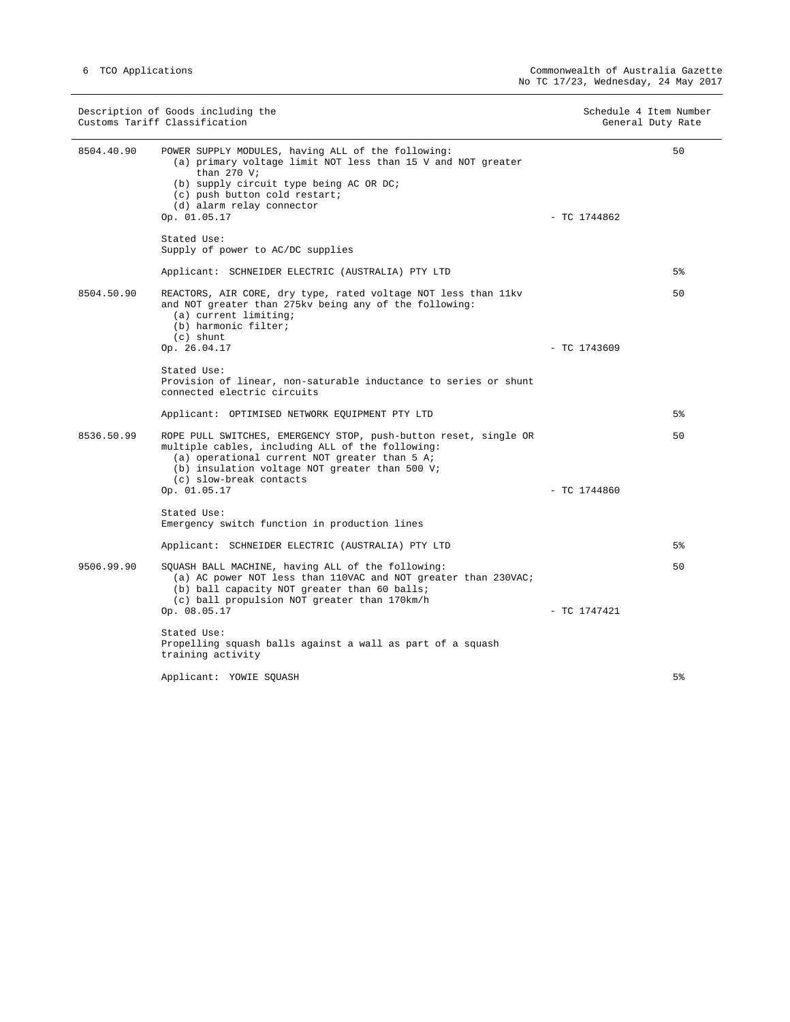$\overline{\phantom{0}}$ 

| Description of Goods including the<br>Customs Tariff Classification |                                                                                                                                                                                                                                                              | Schedule 4 Item Number<br>General Duty Rate |  |
|---------------------------------------------------------------------|--------------------------------------------------------------------------------------------------------------------------------------------------------------------------------------------------------------------------------------------------------------|---------------------------------------------|--|
| 8504.40.90                                                          | POWER SUPPLY MODULES, having ALL of the following:<br>(a) primary voltage limit NOT less than 15 V and NOT greater<br>than $270$ V;<br>(b) supply circuit type being AC OR DC;<br>(c) push button cold restart;<br>(d) alarm relay connector<br>Op. 01.05.17 | 50<br>$-$ TC 1744862                        |  |
|                                                                     | Stated Use:<br>Supply of power to AC/DC supplies                                                                                                                                                                                                             |                                             |  |
|                                                                     | Applicant: SCHNEIDER ELECTRIC (AUSTRALIA) PTY LTD                                                                                                                                                                                                            | 5%                                          |  |
| 8504.50.90                                                          | REACTORS, AIR CORE, dry type, rated voltage NOT less than 11kv<br>and NOT greater than 275kv being any of the following:<br>(a) current limiting;<br>(b) harmonic filter;<br>$(c)$ shunt                                                                     | 50                                          |  |
|                                                                     | Op. 26.04.17                                                                                                                                                                                                                                                 | $-$ TC 1743609                              |  |
|                                                                     | Stated Use:<br>Provision of linear, non-saturable inductance to series or shunt<br>connected electric circuits                                                                                                                                               |                                             |  |
|                                                                     | Applicant: OPTIMISED NETWORK EQUIPMENT PTY LTD                                                                                                                                                                                                               | 5 <sup>8</sup>                              |  |
| 8536.50.99                                                          | ROPE PULL SWITCHES, EMERGENCY STOP, push-button reset, single OR<br>multiple cables, including ALL of the following:<br>(a) operational current NOT greater than 5 A;<br>(b) insulation voltage NOT greater than 500 V;<br>(c) slow-break contacts           | 50                                          |  |
|                                                                     | Op. 01.05.17                                                                                                                                                                                                                                                 | $-$ TC 1744860                              |  |
|                                                                     | Stated Use:<br>Emergency switch function in production lines                                                                                                                                                                                                 |                                             |  |
|                                                                     | Applicant: SCHNEIDER ELECTRIC (AUSTRALIA) PTY LTD                                                                                                                                                                                                            | 5 <sup>8</sup>                              |  |
| 9506.99.90                                                          | SQUASH BALL MACHINE, having ALL of the following:<br>(a) AC power NOT less than 110VAC and NOT greater than 230VAC;<br>(b) ball capacity NOT greater than 60 balls;<br>(c) ball propulsion NOT greater than 170km/h                                          | 50                                          |  |
|                                                                     | Op. 08.05.17                                                                                                                                                                                                                                                 | $-$ TC 1747421                              |  |
|                                                                     | Stated Use:<br>Propelling squash balls against a wall as part of a squash<br>training activity                                                                                                                                                               |                                             |  |
|                                                                     | Applicant: YOWIE SQUASH                                                                                                                                                                                                                                      | 5 <sup>°</sup>                              |  |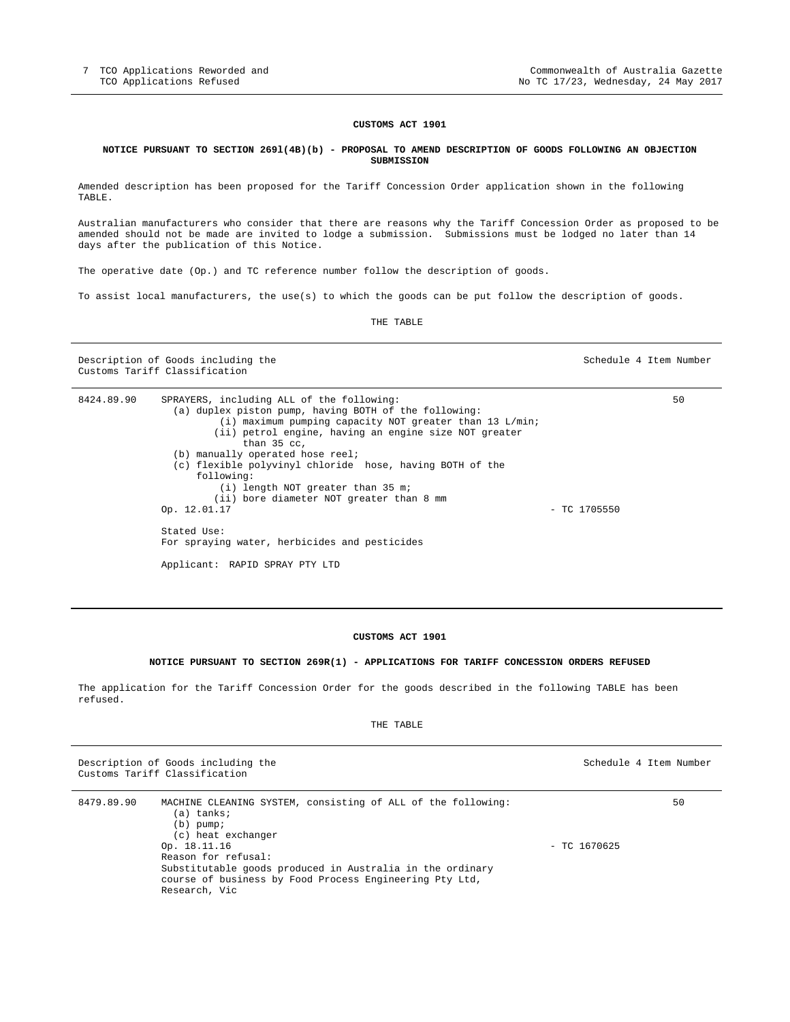#### **CUSTOMS ACT 1901**

#### **NOTICE PURSUANT TO SECTION 269l(4B)(b) - PROPOSAL TO AMEND DESCRIPTION OF GOODS FOLLOWING AN OBJECTION SUBMISSION**

Amended description has been proposed for the Tariff Concession Order application shown in the following TABLE.

Australian manufacturers who consider that there are reasons why the Tariff Concession Order as proposed to be amended should not be made are invited to lodge a submission. Submissions must be lodged no later than 14 days after the publication of this Notice.

The operative date (Op.) and TC reference number follow the description of goods.

To assist local manufacturers, the use(s) to which the goods can be put follow the description of goods.

THE TABLE

Description of Goods including the Schedule 4 Item Number Schedule 4 Item Number Customs Tariff Classification

| 8424.89.90 | SPRAYERS, including ALL of the following:                 |                | 50 |
|------------|-----------------------------------------------------------|----------------|----|
|            | (a) duplex piston pump, having BOTH of the following:     |                |    |
|            | $(i)$ maximum pumping capacity NOT greater than 13 L/min; |                |    |
|            | (ii) petrol engine, having an engine size NOT greater     |                |    |
|            | than $35$ cc.                                             |                |    |
|            | (b) manually operated hose reel;                          |                |    |
|            | (c) flexible polyvinyl chloride hose, having BOTH of the  |                |    |
|            | following:                                                |                |    |
|            | $(i)$ length NOT greater than 35 m;                       |                |    |
|            | (ii) bore diameter NOT greater than 8 mm                  |                |    |
|            | Op. 12.01.17                                              | $-$ TC 1705550 |    |
|            | Stated Use:                                               |                |    |
|            | For spraying water, herbicides and pesticides             |                |    |
|            | Applicant: RAPID SPRAY PTY LTD                            |                |    |

#### **CUSTOMS ACT 1901**

### **NOTICE PURSUANT TO SECTION 269R(1) - APPLICATIONS FOR TARIFF CONCESSION ORDERS REFUSED**

The application for the Tariff Concession Order for the goods described in the following TABLE has been refused.

| - | ┑<br>־כ<br>r.<br>۰.<br>٠, |
|---|---------------------------|
|---|---------------------------|

|            | Description of Goods including the<br>Customs Tariff Classification                                                                                                                                                                                                                             |                | Schedule 4 Item Number |
|------------|-------------------------------------------------------------------------------------------------------------------------------------------------------------------------------------------------------------------------------------------------------------------------------------------------|----------------|------------------------|
| 8479.89.90 | MACHINE CLEANING SYSTEM, consisting of ALL of the following:<br>(a) tanks;<br>$(b)$ pump;<br>(c) heat exchanger<br>Op. 18.11.16<br>Reason for refusal:<br>Substitutable goods produced in Australia in the ordinary<br>course of business by Food Process Engineering Pty Ltd,<br>Research, Vic | $-$ TC 1670625 | 50                     |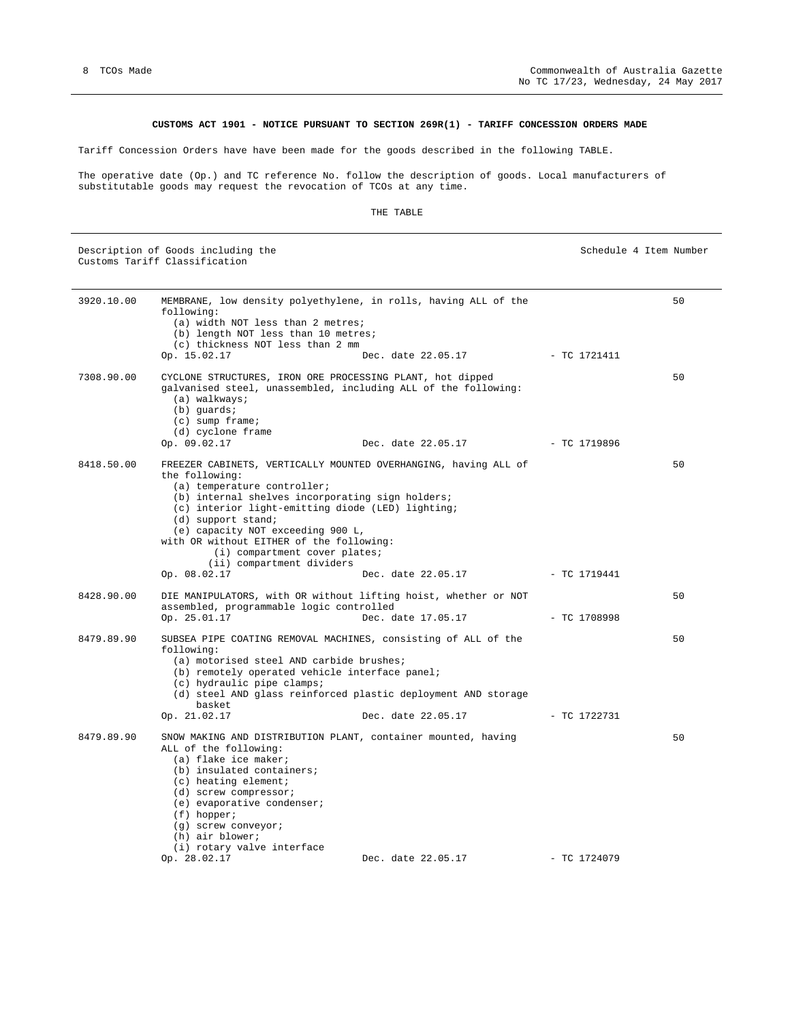#### **CUSTOMS ACT 1901 - NOTICE PURSUANT TO SECTION 269R(1) - TARIFF CONCESSION ORDERS MADE**

Tariff Concession Orders have have been made for the goods described in the following TABLE.

The operative date (Op.) and TC reference No. follow the description of goods. Local manufacturers of substitutable goods may request the revocation of TCOs at any time.

#### THE TABLE

Description of Goods including the Schedule 4 Item Number Schedule 4 Item Number Customs Tariff Classification

| 3920.10.00 | MEMBRANE, low density polyethylene, in rolls, having ALL of the<br>following:<br>(a) width NOT less than 2 metres;<br>(b) length NOT less than 10 metres;<br>(c) thickness NOT less than 2 mm<br>Op. 15.02.17<br>Dec. date 22.05.17 - TC 1721411                                                                                                                                                                                     |                | 50 |
|------------|--------------------------------------------------------------------------------------------------------------------------------------------------------------------------------------------------------------------------------------------------------------------------------------------------------------------------------------------------------------------------------------------------------------------------------------|----------------|----|
| 7308.90.00 | CYCLONE STRUCTURES, IRON ORE PROCESSING PLANT, hot dipped<br>galvanised steel, unassembled, including ALL of the following:<br>(a) walkways;<br>$(b)$ quards;<br>$(c)$ sump frame;<br>(d) cyclone frame<br>Op. 09.02.17<br>Dec. date 22.05.17                                                                                                                                                                                        | - TC 1719896   | 50 |
| 8418.50.00 | FREEZER CABINETS, VERTICALLY MOUNTED OVERHANGING, having ALL of<br>the following:<br>(a) temperature controller;<br>(b) internal shelves incorporating sign holders;<br>(c) interior light-emitting diode (LED) lighting;<br>(d) support stand;<br>(e) capacity NOT exceeding 900 L,<br>with OR without EITHER of the following:<br>(i) compartment cover plates;<br>(ii) compartment dividers<br>Op. 08.02.17<br>Dec. date 22.05.17 | - TC 1719441   | 50 |
| 8428.90.00 | DIE MANIPULATORS, with OR without lifting hoist, whether or NOT<br>assembled, programmable logic controlled<br>Op. 25.01.17<br>Dec. date 17.05.17                                                                                                                                                                                                                                                                                    | - TC 1708998   | 50 |
| 8479.89.90 | SUBSEA PIPE COATING REMOVAL MACHINES, consisting of ALL of the<br>following:<br>(a) motorised steel AND carbide brushes;<br>(b) remotely operated vehicle interface panel;<br>(c) hydraulic pipe clamps;<br>(d) steel AND glass reinforced plastic deployment AND storage<br>basket<br>Op. 21.02.17<br>Dec. date 22.05.17                                                                                                            | - TC 1722731   | 50 |
| 8479.89.90 | SNOW MAKING AND DISTRIBUTION PLANT, container mounted, having<br>ALL of the following:<br>(a) flake ice maker;<br>(b) insulated containers;<br>$(c)$ heating element;<br>(d) screw compressor;<br>(e) evaporative condenser;<br>$(f)$ hopper;<br>$(q)$ screw conveyor;<br>(h) air blower;<br>(i) rotary valve interface<br>Op. 28.02.17<br>Dec. date 22.05.17                                                                        | $-$ TC 1724079 | 50 |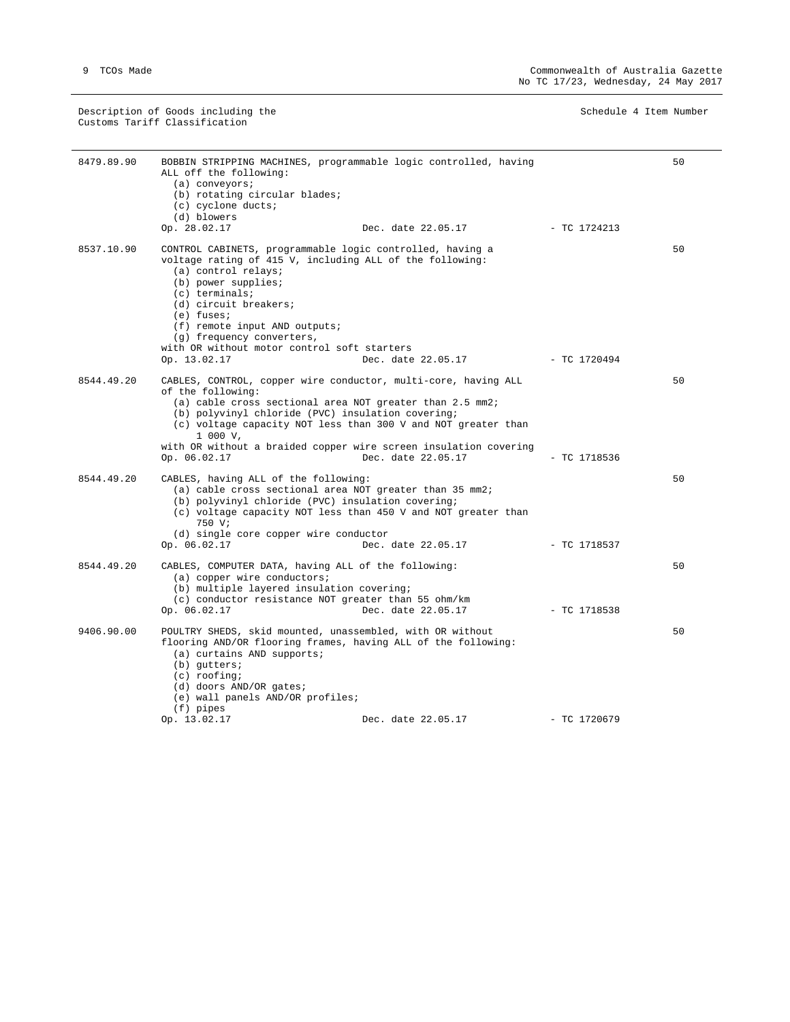Description of Goods including the Schedule 4 Item Number Schedule 4 Item Number Customs Tariff Classification

| 8479.89.90 | BOBBIN STRIPPING MACHINES, programmable logic controlled, having<br>ALL off the following:<br>$(a)$ conveyors;                                                                                                                                                    |                | 50 |
|------------|-------------------------------------------------------------------------------------------------------------------------------------------------------------------------------------------------------------------------------------------------------------------|----------------|----|
|            | (b) rotating circular blades;                                                                                                                                                                                                                                     |                |    |
|            | (c) cyclone ducts;                                                                                                                                                                                                                                                |                |    |
|            | (d) blowers<br>Op. 28.02.17<br>Dec. date 22.05.17                                                                                                                                                                                                                 | - TC 1724213   |    |
| 8537.10.90 | CONTROL CABINETS, programmable logic controlled, having a<br>voltage rating of 415 V, including ALL of the following:<br>(a) control relays;<br>(b) power supplies;<br>$(c)$ terminals;<br>(d) circuit breakers;<br>$(e)$ fuses;<br>(f) remote input AND outputs; |                | 50 |
|            | (g) frequency converters,                                                                                                                                                                                                                                         |                |    |
|            | with OR without motor control soft starters                                                                                                                                                                                                                       |                |    |
|            | Dec. date 22.05.17 - TC 1720494<br>Op. 13.02.17                                                                                                                                                                                                                   |                |    |
| 8544.49.20 | CABLES, CONTROL, copper wire conductor, multi-core, having ALL<br>of the following:                                                                                                                                                                               |                | 50 |
|            | (a) cable cross sectional area NOT greater than $2.5 \text{ mm}$ 2;<br>(b) polyvinyl chloride (PVC) insulation covering;<br>(c) voltage capacity NOT less than 300 V and NOT greater than<br>$1000 \text{ V}$                                                     |                |    |
|            | with OR without a braided copper wire screen insulation covering<br>Dec. date 22.05.17<br>Op. 06.02.17                                                                                                                                                            | $-$ TC 1718536 |    |
| 8544.49.20 | CABLES, having ALL of the following:<br>(a) cable cross sectional area NOT greater than 35 mm2;<br>(b) polyvinyl chloride (PVC) insulation covering;<br>(c) voltage capacity NOT less than 450 V and NOT greater than<br>750 V;                                   |                | 50 |
|            | (d) single core copper wire conductor<br>Op. 06.02.17<br>Dec. date 22.05.17                                                                                                                                                                                       | - TC 1718537   |    |
| 8544.49.20 | CABLES, COMPUTER DATA, having ALL of the following:<br>(a) copper wire conductors;<br>(b) multiple layered insulation covering;<br>(c) conductor resistance NOT greater than 55 ohm/km                                                                            |                | 50 |
|            | Dec. date 22.05.17<br>Op. 06.02.17                                                                                                                                                                                                                                | $-$ TC 1718538 |    |
| 9406.90.00 | POULTRY SHEDS, skid mounted, unassembled, with OR without<br>flooring AND/OR flooring frames, having ALL of the following:<br>(a) curtains AND supports;<br>(b) gutters;<br>$(c)$ roofing;<br>(d) doors AND/OR gates;<br>(e) wall panels AND/OR profiles;         |                | 50 |
|            | $(f)$ pipes<br>Dec. date 22.05.17<br>Op. 13.02.17                                                                                                                                                                                                                 | $-$ TC 1720679 |    |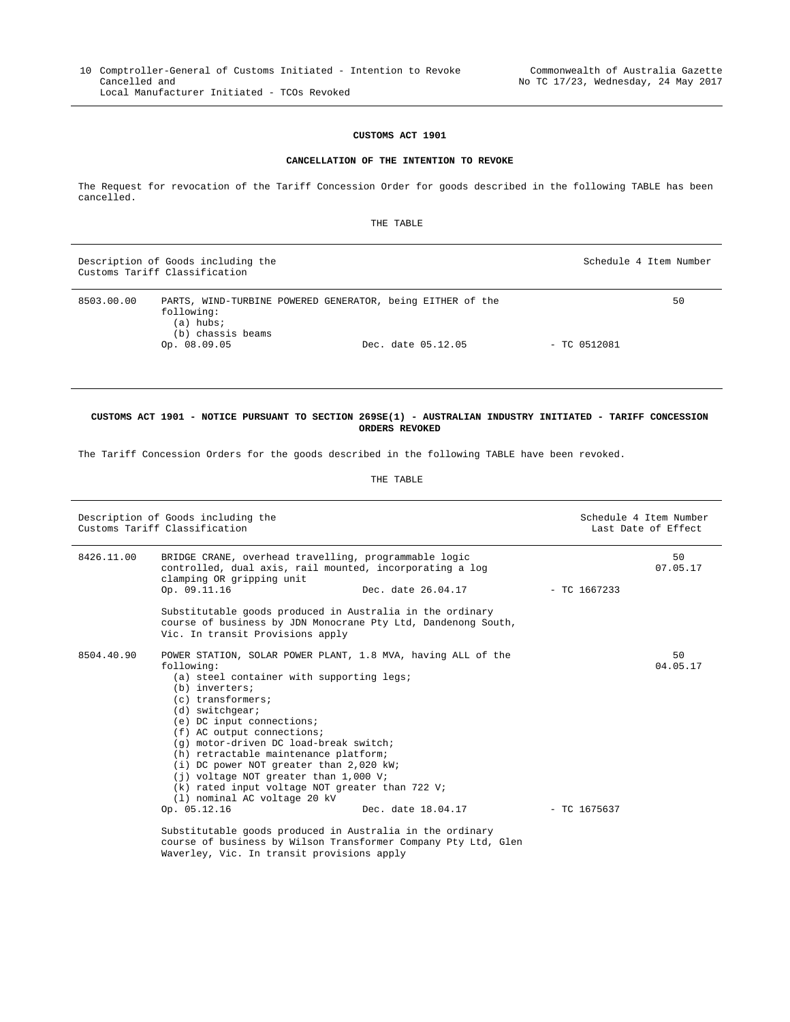#### **CUSTOMS ACT 1901**

#### **CANCELLATION OF THE INTENTION TO REVOKE**

The Request for revocation of the Tariff Concession Order for goods described in the following TABLE has been cancelled.

THE TABLE

|            | Description of Goods including the<br>Customs Tariff Classification                                                        |                    | Schedule 4 Item Number |
|------------|----------------------------------------------------------------------------------------------------------------------------|--------------------|------------------------|
| 8503.00.00 | PARTS, WIND-TURBINE POWERED GENERATOR, being EITHER of the<br>following:<br>(a) hubs;<br>(b) chassis beams<br>Op. 08.09.05 | Dec. date 05.12.05 | 50<br>$-$ TC 0512081   |

#### **CUSTOMS ACT 1901 - NOTICE PURSUANT TO SECTION 269SE(1) - AUSTRALIAN INDUSTRY INITIATED - TARIFF CONCESSION ORDERS REVOKED**

The Tariff Concession Orders for the goods described in the following TABLE have been revoked.

#### THE TABLE

| Description of Goods including the<br>Customs Tariff Classification |                                                                                                                                                                                                                                                                                                                                                                                                                                                                                                                                                                                           |                    | Schedule 4 Item Number<br>Last Date of Effect |  |
|---------------------------------------------------------------------|-------------------------------------------------------------------------------------------------------------------------------------------------------------------------------------------------------------------------------------------------------------------------------------------------------------------------------------------------------------------------------------------------------------------------------------------------------------------------------------------------------------------------------------------------------------------------------------------|--------------------|-----------------------------------------------|--|
| 8426.11.00                                                          | BRIDGE CRANE, overhead travelling, programmable logic<br>controlled, dual axis, rail mounted, incorporating a log<br>clamping OR gripping unit<br>Op. 09.11.16                                                                                                                                                                                                                                                                                                                                                                                                                            | Dec. date 26.04.17 | 50<br>07.05.17<br>$-$ TC 1667233              |  |
|                                                                     | Substitutable goods produced in Australia in the ordinary<br>course of business by JDN Monocrane Pty Ltd, Dandenong South,<br>Vic. In transit Provisions apply                                                                                                                                                                                                                                                                                                                                                                                                                            |                    |                                               |  |
| 8504.40.90                                                          | POWER STATION, SOLAR POWER PLANT, 1.8 MVA, having ALL of the<br>following:<br>(a) steel container with supporting legs;<br>(b) inverters;<br>$(c)$ transformers;<br>$(d)$ switchgear;<br>$(e)$ DC input connections;<br>(f) AC output connections;<br>(g) motor-driven DC load-break switch;<br>(h) retractable maintenance platform;<br>(i) DC power NOT greater than 2,020 kW;<br>(i) voltage NOT greater than 1,000 V;<br>(k) rated input voltage NOT greater than 722 V;<br>(1) nominal AC voltage 20 kV<br>Op. 05.12.16<br>Substitutable goods produced in Australia in the ordinary | Dec. date 18.04.17 | 50<br>04.05.17<br>$-$ TC 1675637              |  |

 course of business by Wilson Transformer Company Pty Ltd, Glen Waverley, Vic. In transit provisions apply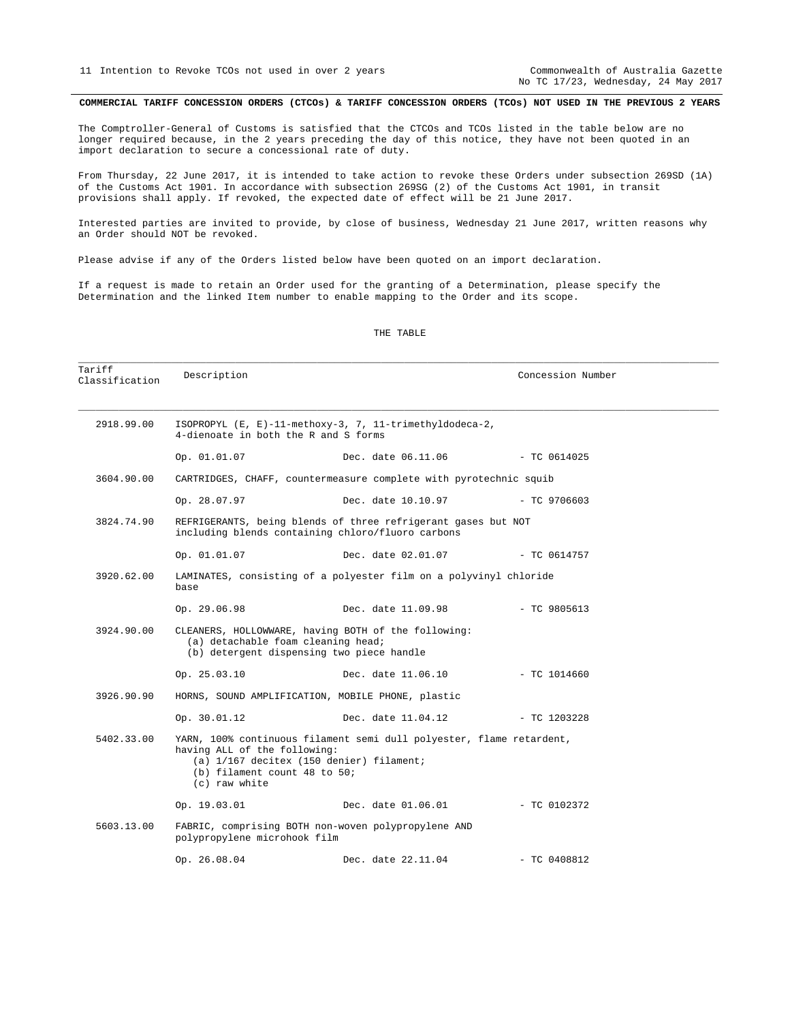No TC 17/23, Wednesday, 24 May 2017

#### COMMERCIAL TARIFF CONCESSION ORDERS (CTCOs) & TARIFF CONCESSION ORDERS (TCOs) NOT USED IN THE PREVIOUS 2 YEARS

The Comptroller-General of Customs is satisfied that the CTCOs and TCOs listed in the table below are no longer required because, in the 2 years preceding the day of this notice, they have not been quoted in an import declaration to secure a concessional rate of duty.

From Thursday, 22 June 2017, it is intended to take action to revoke these Orders under subsection 269SD (1A) of the Customs Act 1901. In accordance with subsection 269SG (2) of the Customs Act 1901, in transit provisions shall apply. If revoked, the expected date of effect will be 21 June 2017.

Interested parties are invited to provide, by close of business, Wednesday 21 June 2017, written reasons why an Order should NOT be revoked.

Please advise if any of the Orders listed below have been quoted on an import declaration.

If a request is made to retain an Order used for the granting of a Determination, please specify the Determination and the linked Item number to enable mapping to the Order and its scope.

| Tariff<br>Classification | Description                                                                                                                            |                                                                                                                  | Concession Number |  |
|--------------------------|----------------------------------------------------------------------------------------------------------------------------------------|------------------------------------------------------------------------------------------------------------------|-------------------|--|
| 2918.99.00               | ISOPROPYL (E, E)-11-methoxy-3, 7, 11-trimethyldodeca-2,<br>4-dienoate in both the R and S forms                                        |                                                                                                                  |                   |  |
|                          | Op. 01.01.07                                                                                                                           | Dec. date 06.11.06                                                                                               | - TC 0614025      |  |
| 3604.90.00               | CARTRIDGES, CHAFF, countermeasure complete with pyrotechnic squib                                                                      |                                                                                                                  |                   |  |
|                          | Op. 28.07.97                                                                                                                           | Dec. date 10.10.97                                                                                               | $- TC$ 9706603    |  |
| 3824.74.90               | REFRIGERANTS, being blends of three refrigerant gases but NOT<br>including blends containing chloro/fluoro carbons                     |                                                                                                                  |                   |  |
|                          | Op. 01.01.07                                                                                                                           | Dec. date 02.01.07                                                                                               | $-$ TC 0614757    |  |
| 3920.62.00               | base                                                                                                                                   | LAMINATES, consisting of a polyester film on a polyvinyl chloride                                                |                   |  |
|                          | Op. 29.06.98                                                                                                                           | Dec. date 11.09.98                                                                                               | $-$ TC 9805613    |  |
| 3924.90.00               | CLEANERS, HOLLOWWARE, having BOTH of the following:<br>(a) detachable foam cleaning head;<br>(b) detergent dispensing two piece handle |                                                                                                                  |                   |  |
|                          | Op. 25.03.10                                                                                                                           | Dec. date 11.06.10                                                                                               | $-$ TC 1014660    |  |
| 3926.90.90               |                                                                                                                                        | HORNS, SOUND AMPLIFICATION, MOBILE PHONE, plastic                                                                |                   |  |
|                          | Op. 30.01.12                                                                                                                           | Dec. date 11.04.12                                                                                               | $-$ TC 1203228    |  |
| 5402.33.00               | having ALL of the following:<br>(b) filament count 48 to 50;<br>(c) raw white                                                          | YARN, 100% continuous filament semi dull polyester, flame retardent,<br>(a) 1/167 decitex (150 denier) filament; |                   |  |
|                          | Op. 19.03.01                                                                                                                           | Dec. date 01.06.01 - TC 0102372                                                                                  |                   |  |
| 5603.13.00               | polypropylene microhook film                                                                                                           | FABRIC, comprising BOTH non-woven polypropylene AND                                                              |                   |  |
|                          | Op. 26.08.04                                                                                                                           | Dec. date 22.11.04                                                                                               | $-$ TC 0408812    |  |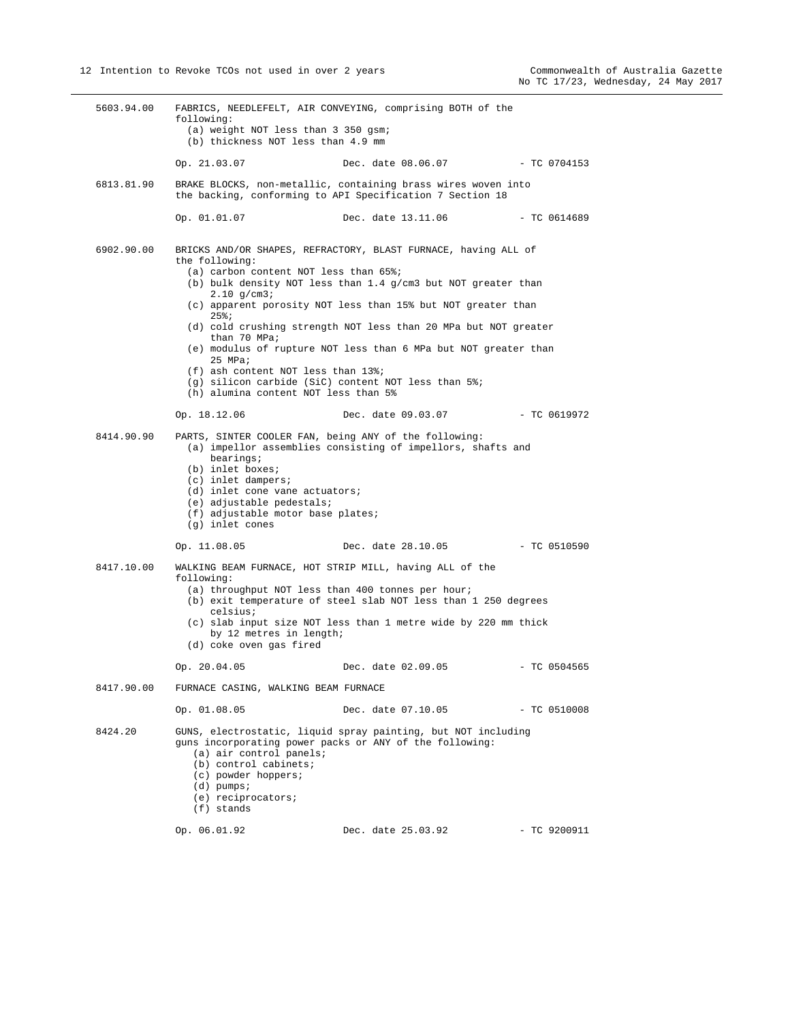5603.94.00 FABRICS, NEEDLEFELT, AIR CONVEYING, comprising BOTH of the following: (a) weight NOT less than 3 350 gsm; (b) thickness NOT less than 4.9 mm Op. 21.03.07 Dec. date 08.06.07 - TC 0704153 6813.81.90 BRAKE BLOCKS, non-metallic, containing brass wires woven into the backing, conforming to API Specification 7 Section 18 Op. 01.01.07 Dec. date 13.11.06 - TC 0614689 6902.90.00 BRICKS AND/OR SHAPES, REFRACTORY, BLAST FURNACE, having ALL of the following: (a) carbon content NOT less than 65%; (b) bulk density NOT less than 1.4 g/cm3 but NOT greater than 2.10 g/cm3; (c) apparent porosity NOT less than 15% but NOT greater than 25%; (d) cold crushing strength NOT less than 20 MPa but NOT greater than 70 MPa; (e) modulus of rupture NOT less than 6 MPa but NOT greater than 25 MPa; (f) ash content NOT less than 13%; (g) silicon carbide (SiC) content NOT less than 5%; (h) alumina content NOT less than 5% Op. 18.12.06 Dec. date 09.03.07 - TC 0619972 8414.90.90 PARTS, SINTER COOLER FAN, being ANY of the following: (a) impellor assemblies consisting of impellors, shafts and bearings; (b) inlet boxes; (c) inlet dampers; (d) inlet cone vane actuators; (e) adjustable pedestals; (f) adjustable motor base plates; (g) inlet cones Op. 11.08.05 Dec. date 28.10.05 - TC 0510590 8417.10.00 WALKING BEAM FURNACE, HOT STRIP MILL, having ALL of the following: (a) throughput NOT less than 400 tonnes per hour; (b) exit temperature of steel slab NOT less than 1 250 degrees celsius; (c) slab input size NOT less than 1 metre wide by 220 mm thick by 12 metres in length; (d) coke oven gas fired Op. 20.04.05 Dec. date 02.09.05 - TC 0504565 8417.90.00 FURNACE CASING, WALKING BEAM FURNACE Op. 01.08.05 Dec. date 07.10.05 - TC 0510008 8424.20 GUNS, electrostatic, liquid spray painting, but NOT including guns incorporating power packs or ANY of the following: (a) air control panels; (b) control cabinets; (c) powder hoppers; (d) pumps; (e) reciprocators; (f) stands Op. 06.01.92 Dec. date 25.03.92 - TC 9200911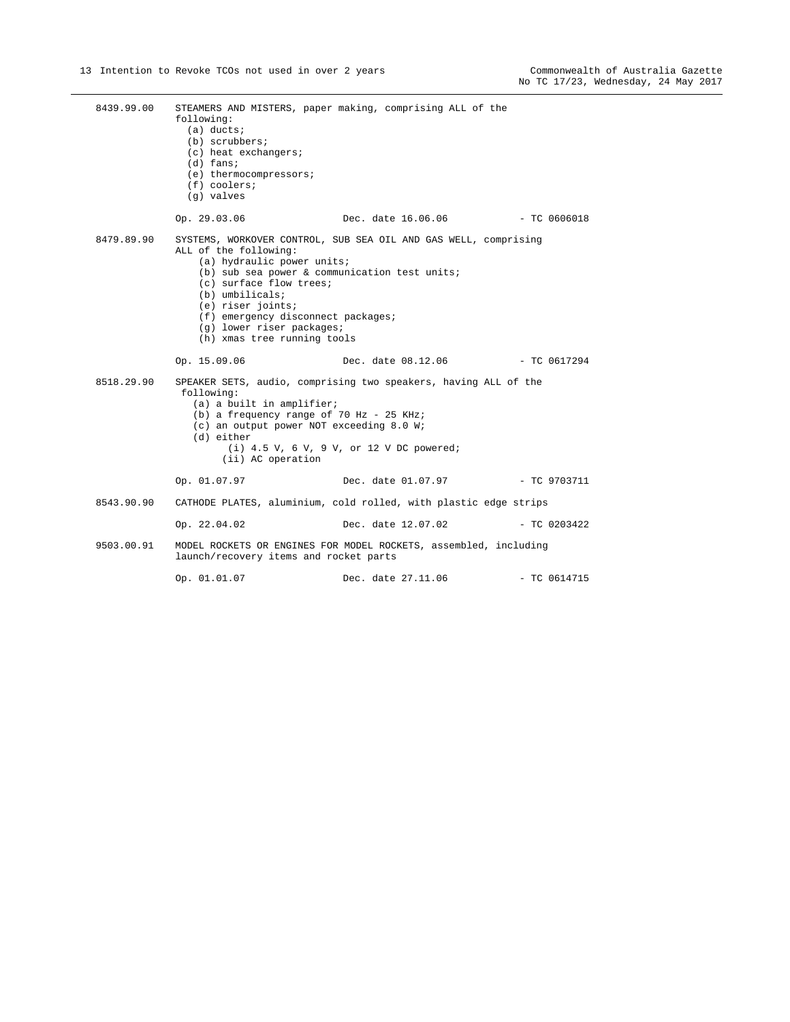| 8439.99.00 | following:<br>$(a)$ ducts;<br>(b) scrubbers;<br>(c) heat exchangers;<br>$(d)$ fans;<br>(e) thermocompressors;<br>$(f)$ coolers;<br>(g) valves                                                                                                                               | STEAMERS AND MISTERS, paper making, comprising ALL of the                                                     |                |
|------------|-----------------------------------------------------------------------------------------------------------------------------------------------------------------------------------------------------------------------------------------------------------------------------|---------------------------------------------------------------------------------------------------------------|----------------|
|            | Op. 29.03.06                                                                                                                                                                                                                                                                | Dec. date 16.06.06                                                                                            | $-TC.0606018$  |
| 8479.89.90 | ALL of the following:<br>(a) hydraulic power units;<br>(b) sub sea power & communication test units;<br>(c) surface flow trees;<br>$(b)$ umbilicals;<br>(e) riser joints;<br>(f) emergency disconnect packages;<br>(g) lower riser packages;<br>(h) xmas tree running tools | SYSTEMS, WORKOVER CONTROL, SUB SEA OIL AND GAS WELL, comprising                                               |                |
|            | Op. 15.09.06                                                                                                                                                                                                                                                                | Dec. date 08.12.06                                                                                            | $-$ TC 0617294 |
| 8518.29.90 | following:<br>(a) a built in amplifier;<br>(b) a frequency range of 70 Hz - 25 KHz;<br>(c) an output power NOT exceeding 8.0 W;<br>(d) either<br>(ii) AC operation                                                                                                          | SPEAKER SETS, audio, comprising two speakers, having ALL of the<br>$(i)$ 4.5 V, 6 V, 9 V, or 12 V DC powered; |                |
|            | Op. 01.07.97                                                                                                                                                                                                                                                                | Dec. date 01.07.97    - TC 9703711                                                                            |                |
| 8543.90.90 |                                                                                                                                                                                                                                                                             | CATHODE PLATES, aluminium, cold rolled, with plastic edge strips                                              |                |
|            | Op. 22.04.02                                                                                                                                                                                                                                                                | Dec. date 12.07.02                                                                                            | $-$ TC 0203422 |
| 9503.00.91 | launch/recovery items and rocket parts                                                                                                                                                                                                                                      | MODEL ROCKETS OR ENGINES FOR MODEL ROCKETS, assembled, including                                              |                |
|            |                                                                                                                                                                                                                                                                             |                                                                                                               |                |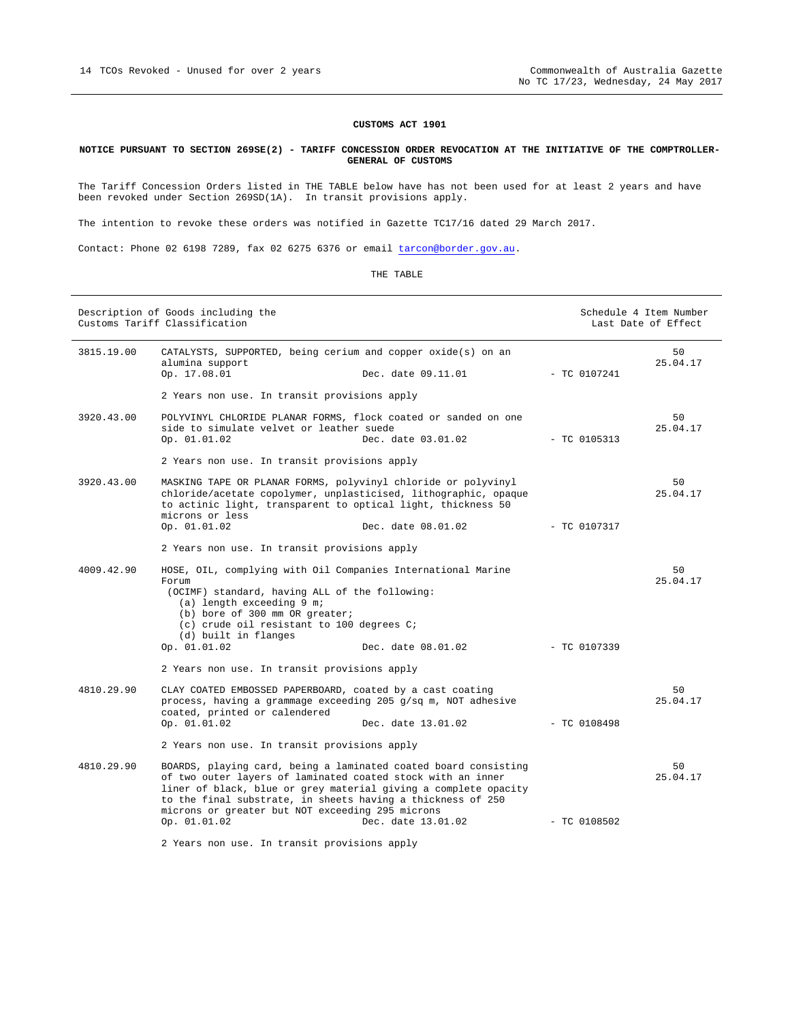### **CUSTOMS ACT 1901**

#### **NOTICE PURSUANT TO SECTION 269SE(2) - TARIFF CONCESSION ORDER REVOCATION AT THE INITIATIVE OF THE COMPTROLLER-GENERAL OF CUSTOMS**

The Tariff Concession Orders listed in THE TABLE below have has not been used for at least 2 years and have been revoked under Section 269SD(1A). In transit provisions apply.

The intention to revoke these orders was notified in Gazette TC17/16 dated 29 March 2017.

Contact: Phone 02 6198 7289, fax 02 6275 6376 or email tarcon@border.gov.au.

| Description of Goods including the<br>Customs Tariff Classification |                                                                                                                                                                                                                                                                                                                                                            |  | Schedule 4 Item Number<br>Last Date of Effect |                |
|---------------------------------------------------------------------|------------------------------------------------------------------------------------------------------------------------------------------------------------------------------------------------------------------------------------------------------------------------------------------------------------------------------------------------------------|--|-----------------------------------------------|----------------|
| 3815.19.00                                                          | CATALYSTS, SUPPORTED, being cerium and copper oxide(s) on an<br>alumina support<br>Op. 17.08.01<br>Dec. date 09.11.01                                                                                                                                                                                                                                      |  | $-$ TC 0107241                                | 50<br>25.04.17 |
|                                                                     | 2 Years non use. In transit provisions apply                                                                                                                                                                                                                                                                                                               |  |                                               |                |
| 3920.43.00                                                          | POLYVINYL CHLORIDE PLANAR FORMS, flock coated or sanded on one<br>side to simulate velvet or leather suede<br>Op. 01.01.02<br>Dec. date 03.01.02                                                                                                                                                                                                           |  | $-$ TC 0105313                                | 50<br>25.04.17 |
|                                                                     | 2 Years non use. In transit provisions apply                                                                                                                                                                                                                                                                                                               |  |                                               |                |
| 3920.43.00                                                          | MASKING TAPE OR PLANAR FORMS, polyvinyl chloride or polyvinyl<br>chloride/acetate copolymer, unplasticised, lithographic, opaque<br>to actinic light, transparent to optical light, thickness 50<br>microns or less                                                                                                                                        |  |                                               | 50<br>25.04.17 |
|                                                                     | Op. 01.01.02<br>Dec. date 08.01.02                                                                                                                                                                                                                                                                                                                         |  | $-$ TC 0107317                                |                |
|                                                                     | 2 Years non use. In transit provisions apply                                                                                                                                                                                                                                                                                                               |  |                                               |                |
| 4009.42.90                                                          | HOSE, OIL, complying with Oil Companies International Marine<br>Forum<br>(OCIMF) standard, having ALL of the following:<br>(a) length exceeding 9 m;<br>(b) bore of 300 mm OR greater;<br>(c) crude oil resistant to 100 degrees $C_i$<br>(d) built in flanges<br>Op. 01.01.02<br>Dec. date 08.01.02                                                       |  | $-$ TC 0107339                                | 50<br>25.04.17 |
|                                                                     | 2 Years non use. In transit provisions apply                                                                                                                                                                                                                                                                                                               |  |                                               |                |
| 4810.29.90                                                          | CLAY COATED EMBOSSED PAPERBOARD, coated by a cast coating<br>process, having a grammage exceeding 205 $g/sq$ m, NOT adhesive<br>coated, printed or calendered<br>Op. 01.01.02<br>Dec. date 13.01.02                                                                                                                                                        |  | $-$ TC 0108498                                | 50<br>25.04.17 |
|                                                                     | 2 Years non use. In transit provisions apply                                                                                                                                                                                                                                                                                                               |  |                                               |                |
| 4810.29.90                                                          | BOARDS, playing card, being a laminated coated board consisting<br>of two outer layers of laminated coated stock with an inner<br>liner of black, blue or grey material giving a complete opacity<br>to the final substrate, in sheets having a thickness of 250<br>microns or greater but NOT exceeding 295 microns<br>Op. 01.01.02<br>Dec. date 13.01.02 |  | $-$ TC 0108502                                | 50<br>25.04.17 |
|                                                                     | 2 Years non use. In transit provisions apply                                                                                                                                                                                                                                                                                                               |  |                                               |                |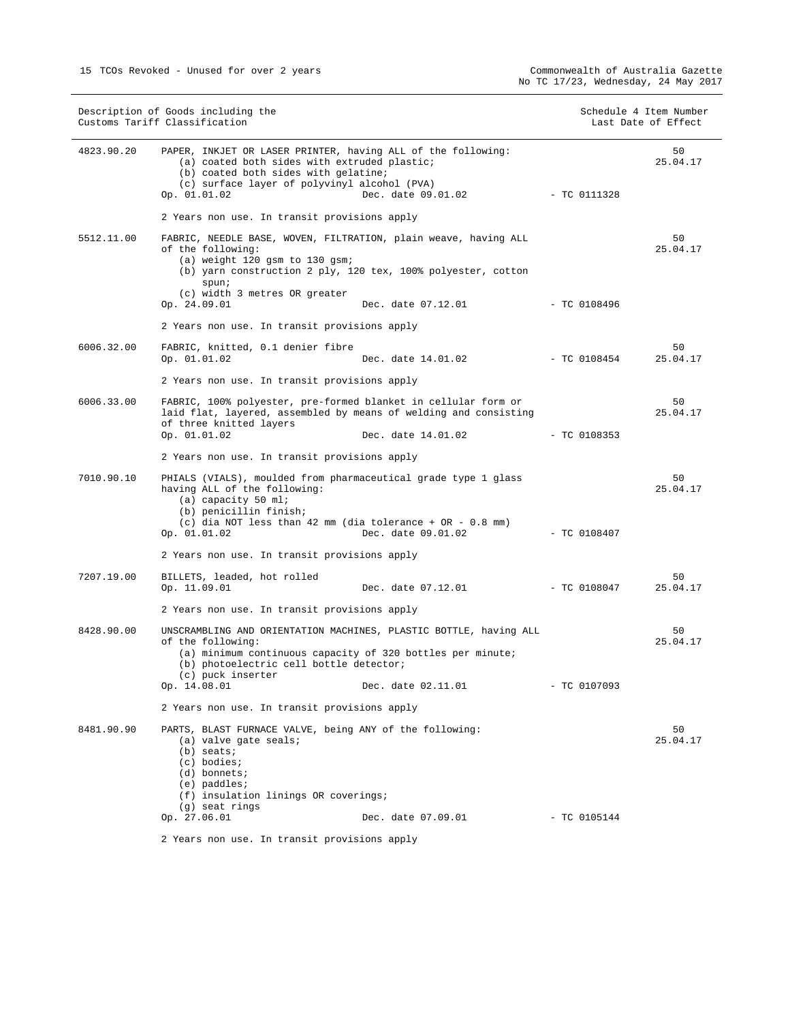|            | Description of Goods including the<br>Customs Tariff Classification                                                                                                                                                                                  |                | Schedule 4 Item Number<br>Last Date of Effect |
|------------|------------------------------------------------------------------------------------------------------------------------------------------------------------------------------------------------------------------------------------------------------|----------------|-----------------------------------------------|
| 4823.90.20 | PAPER, INKJET OR LASER PRINTER, having ALL of the following:<br>(a) coated both sides with extruded plastic;<br>(b) coated both sides with gelatine;<br>(c) surface layer of polyvinyl alcohol (PVA)<br>Dec. date 09.01.02<br>Op. 01.01.02           | $-$ TC 0111328 | 50<br>25.04.17                                |
|            | 2 Years non use. In transit provisions apply                                                                                                                                                                                                         |                |                                               |
| 5512.11.00 | FABRIC, NEEDLE BASE, WOVEN, FILTRATION, plain weave, having ALL<br>of the following:<br>$(a)$ weight 120 gsm to 130 gsm;<br>(b) yarn construction 2 ply, 120 tex, 100% polyester, cotton<br>spun;<br>(c) width 3 metres OR greater                   |                | 50<br>25.04.17                                |
|            | Op. 24.09.01<br>Dec. date 07.12.01                                                                                                                                                                                                                   | - TC 0108496   |                                               |
|            | 2 Years non use. In transit provisions apply                                                                                                                                                                                                         |                |                                               |
| 6006.32.00 | FABRIC, knitted, 0.1 denier fibre<br>Op. 01.01.02<br>Dec. date 14.01.02                                                                                                                                                                              | - TC 0108454   | 50<br>25.04.17                                |
|            | 2 Years non use. In transit provisions apply                                                                                                                                                                                                         |                |                                               |
| 6006.33.00 | FABRIC, 100% polyester, pre-formed blanket in cellular form or<br>laid flat, layered, assembled by means of welding and consisting<br>of three knitted layers                                                                                        |                | 50<br>25.04.17                                |
|            | Op. 01.01.02<br>Dec. date 14.01.02                                                                                                                                                                                                                   | $-$ TC 0108353 |                                               |
|            | 2 Years non use. In transit provisions apply                                                                                                                                                                                                         |                |                                               |
| 7010.90.10 | PHIALS (VIALS), moulded from pharmaceutical grade type 1 glass<br>having ALL of the following:<br>(a) capacity 50 ml;<br>(b) penicillin finish;<br>(c) dia NOT less than 42 mm (dia tolerance + OR - $0.8$ mm)<br>Op. 01.01.02<br>Dec. date 09.01.02 | $-$ TC 0108407 | 50<br>25.04.17                                |
|            | 2 Years non use. In transit provisions apply                                                                                                                                                                                                         |                |                                               |
| 7207.19.00 | BILLETS, leaded, hot rolled<br>Op. 11.09.01<br>Dec. date 07.12.01                                                                                                                                                                                    | $-$ TC 0108047 | 50<br>25.04.17                                |
|            | 2 Years non use. In transit provisions apply                                                                                                                                                                                                         |                |                                               |
| 8428.90.00 | UNSCRAMBLING AND ORIENTATION MACHINES, PLASTIC BOTTLE, having ALL<br>of the following:<br>(a) minimum continuous capacity of 320 bottles per minute;<br>(b) photoelectric cell bottle detector;<br>(c) puck inserter                                 |                | 50<br>25.04.17                                |
|            | Dec. date 02.11.01<br>Op. 14.08.01                                                                                                                                                                                                                   | $- TC 0107093$ |                                               |
|            | 2 Years non use. In transit provisions apply                                                                                                                                                                                                         |                |                                               |
| 8481.90.90 | PARTS, BLAST FURNACE VALVE, being ANY of the following:<br>(a) valve gate seals;<br>$(b)$ seats;<br>(c) bodies;<br>(d) bonnets;<br>$(e)$ paddles;<br>(f) insulation linings OR coverings;<br>(g) seat rings<br>Op. 27.06.01<br>Dec. date 07.09.01    | $-$ TC 0105144 | 50<br>25.04.17                                |
|            |                                                                                                                                                                                                                                                      |                |                                               |

2 Years non use. In transit provisions apply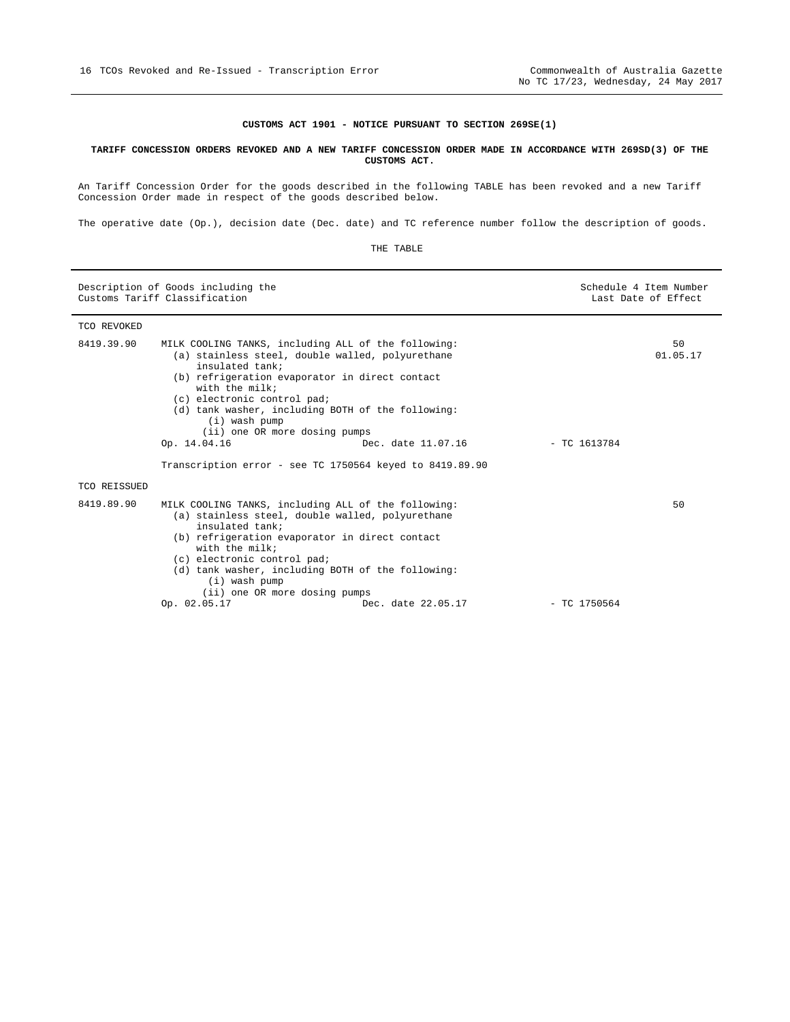#### **CUSTOMS ACT 1901 - NOTICE PURSUANT TO SECTION 269SE(1)**

#### **TARIFF CONCESSION ORDERS REVOKED AND A NEW TARIFF CONCESSION ORDER MADE IN ACCORDANCE WITH 269SD(3) OF THE CUSTOMS ACT.**

An Tariff Concession Order for the goods described in the following TABLE has been revoked and a new Tariff Concession Order made in respect of the goods described below.

The operative date (Op.), decision date (Dec. date) and TC reference number follow the description of goods.

| Description of Goods including the<br>Customs Tariff Classification |                                                                                                                                                                                                                                               | Schedule 4 Item Number<br>Last Date of Effect                                                                                                                                           |                |                |
|---------------------------------------------------------------------|-----------------------------------------------------------------------------------------------------------------------------------------------------------------------------------------------------------------------------------------------|-----------------------------------------------------------------------------------------------------------------------------------------------------------------------------------------|----------------|----------------|
| TCO REVOKED                                                         |                                                                                                                                                                                                                                               |                                                                                                                                                                                         |                |                |
| 8419.39.90                                                          | MILK COOLING TANKS, including ALL of the following:<br>insulated tank;<br>(b) refrigeration evaporator in direct contact<br>with the milk;<br>(c) electronic control pad;<br>$(i)$ wash pump<br>(ii) one OR more dosing pumps<br>Op. 14.04.16 | (a) stainless steel, double walled, polyurethane<br>(d) tank washer, including BOTH of the following:<br>Dec. date 11.07.16<br>Transcription error - see TC 1750564 keyed to 8419.89.90 | $-$ TC 1613784 | 50<br>01.05.17 |
| TCO REISSUED                                                        |                                                                                                                                                                                                                                               |                                                                                                                                                                                         |                |                |
| 8419.89.90                                                          | MILK COOLING TANKS, including ALL of the following:<br>insulated tank;<br>(b) refrigeration evaporator in direct contact<br>with the $milk$<br>(c) electronic control pad;<br>(i) wash pump<br>(ii) one OR more dosing pumps                  | (a) stainless steel, double walled, polyurethane<br>(d) tank washer, including BOTH of the following:                                                                                   |                | 50             |
|                                                                     | Op. 02.05.17                                                                                                                                                                                                                                  | Dec. date 22.05.17                                                                                                                                                                      | $-$ TC 1750564 |                |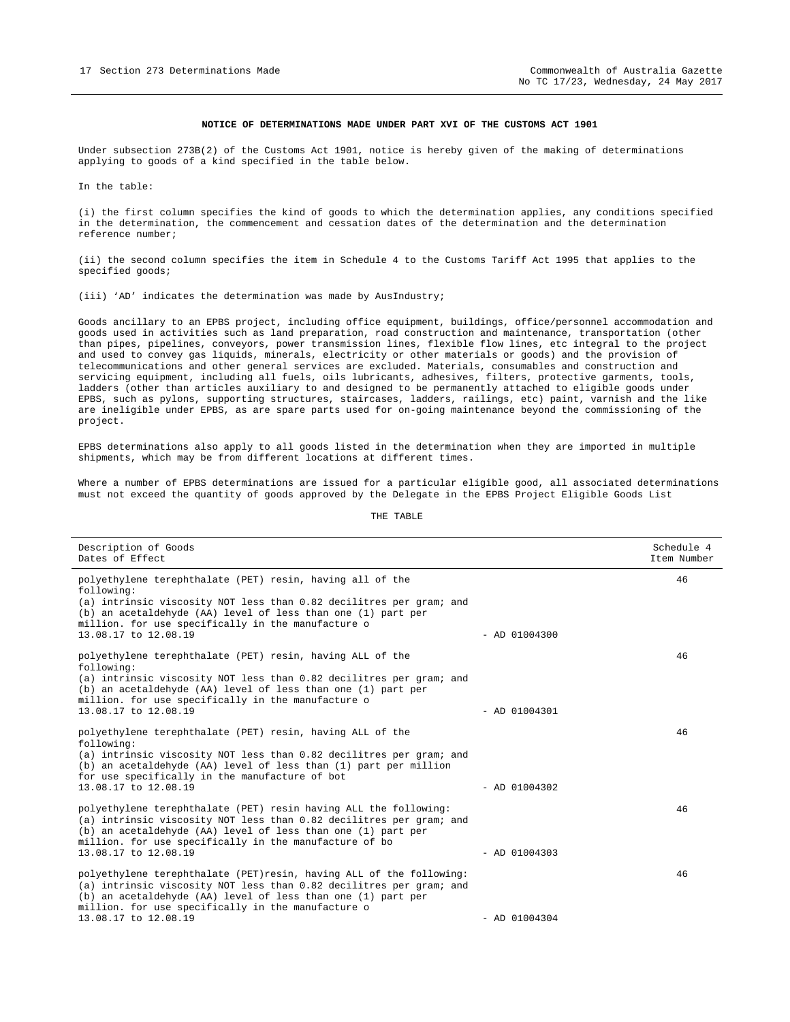#### **NOTICE OF DETERMINATIONS MADE UNDER PART XVI OF THE CUSTOMS ACT 1901**

Under subsection 273B(2) of the Customs Act 1901, notice is hereby given of the making of determinations applying to goods of a kind specified in the table below.

In the table:

(i) the first column specifies the kind of goods to which the determination applies, any conditions specified in the determination, the commencement and cessation dates of the determination and the determination reference number;

(ii) the second column specifies the item in Schedule 4 to the Customs Tariff Act 1995 that applies to the specified goods;

(iii) 'AD' indicates the determination was made by AusIndustry;

Goods ancillary to an EPBS project, including office equipment, buildings, office/personnel accommodation and goods used in activities such as land preparation, road construction and maintenance, transportation (other than pipes, pipelines, conveyors, power transmission lines, flexible flow lines, etc integral to the project and used to convey gas liquids, minerals, electricity or other materials or goods) and the provision of telecommunications and other general services are excluded. Materials, consumables and construction and servicing equipment, including all fuels, oils lubricants, adhesives, filters, protective garments, tools, ladders (other than articles auxiliary to and designed to be permanently attached to eligible goods under EPBS, such as pylons, supporting structures, staircases, ladders, railings, etc) paint, varnish and the like are ineligible under EPBS, as are spare parts used for on-going maintenance beyond the commissioning of the project.

EPBS determinations also apply to all goods listed in the determination when they are imported in multiple shipments, which may be from different locations at different times.

Where a number of EPBS determinations are issued for a particular eligible good, all associated determinations must not exceed the quantity of goods approved by the Delegate in the EPBS Project Eligible Goods List

| THE | TABLE |
|-----|-------|
|-----|-------|

| Description of Goods<br>Dates of Effect                                                                                                                                                                                                                                                      |                 | Schedule 4<br>Item Number |
|----------------------------------------------------------------------------------------------------------------------------------------------------------------------------------------------------------------------------------------------------------------------------------------------|-----------------|---------------------------|
| polyethylene terephthalate (PET) resin, having all of the<br>following:<br>(a) intrinsic viscosity NOT less than 0.82 decilitres per gram; and<br>(b) an acetaldehyde (AA) level of less than one (1) part per<br>million. for use specifically in the manufacture o<br>13.08.17 to 12.08.19 | $-$ AD 01004300 | 46                        |
| polyethylene terephthalate (PET) resin, having ALL of the<br>following:<br>(a) intrinsic viscosity NOT less than 0.82 decilitres per gram; and<br>(b) an acetaldehyde (AA) level of less than one (1) part per<br>million. for use specifically in the manufacture o<br>13.08.17 to 12.08.19 | $-$ AD 01004301 | 46                        |
| polyethylene terephthalate (PET) resin, having ALL of the<br>following:<br>(a) intrinsic viscosity NOT less than 0.82 decilitres per gram; and<br>(b) an acetaldehyde (AA) level of less than (1) part per million<br>for use specifically in the manufacture of bot<br>13.08.17 to 12.08.19 | $-$ AD 01004302 | 46                        |
| polyethylene terephthalate (PET) resin having ALL the following:<br>(a) intrinsic viscosity NOT less than 0.82 decilitres per gram; and<br>(b) an acetaldehyde (AA) level of less than one (1) part per<br>million. for use specifically in the manufacture of bo<br>13.08.17 to 12.08.19    | $-$ AD 01004303 | 46                        |
| polyethylene terephthalate (PET) resin, having ALL of the following:<br>(a) intrinsic viscosity NOT less than 0.82 decilitres per gram; and<br>(b) an acetaldehyde (AA) level of less than one (1) part per<br>million. for use specifically in the manufacture o<br>13.08.17 to 12.08.19    | $-$ AD 01004304 | 46                        |